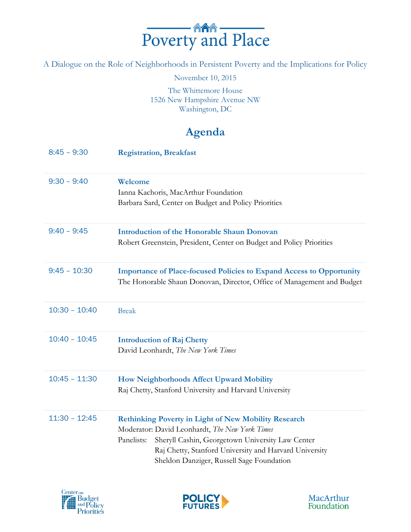

A Dialogue on the Role of Neighborhoods in Persistent Poverty and the Implications for Policy

November 10, 2015

The Whittemore House 1526 New Hampshire Avenue NW Washington, DC

## **Agenda**

| $8:45 - 9:30$   | <b>Registration, Breakfast</b>                                                                                                                                                                                                                                                         |
|-----------------|----------------------------------------------------------------------------------------------------------------------------------------------------------------------------------------------------------------------------------------------------------------------------------------|
| $9:30 - 9:40$   | Welcome<br>Ianna Kachoris, MacArthur Foundation<br>Barbara Sard, Center on Budget and Policy Priorities                                                                                                                                                                                |
| $9:40 - 9:45$   | <b>Introduction of the Honorable Shaun Donovan</b><br>Robert Greenstein, President, Center on Budget and Policy Priorities                                                                                                                                                             |
| $9:45 - 10:30$  | <b>Importance of Place-focused Policies to Expand Access to Opportunity</b><br>The Honorable Shaun Donovan, Director, Office of Management and Budget                                                                                                                                  |
| $10:30 - 10:40$ | <b>Break</b>                                                                                                                                                                                                                                                                           |
| $10:40 - 10:45$ | <b>Introduction of Raj Chetty</b><br>David Leonhardt, The New York Times                                                                                                                                                                                                               |
| $10:45 - 11:30$ | How Neighborhoods Affect Upward Mobility<br>Raj Chetty, Stanford University and Harvard University                                                                                                                                                                                     |
| $11:30 - 12:45$ | <b>Rethinking Poverty in Light of New Mobility Research</b><br>Moderator: David Leonhardt, The New York Times<br>Sheryll Cashin, Georgetown University Law Center<br>Panelists:<br>Raj Chetty, Stanford University and Harvard University<br>Sheldon Danziger, Russell Sage Foundation |